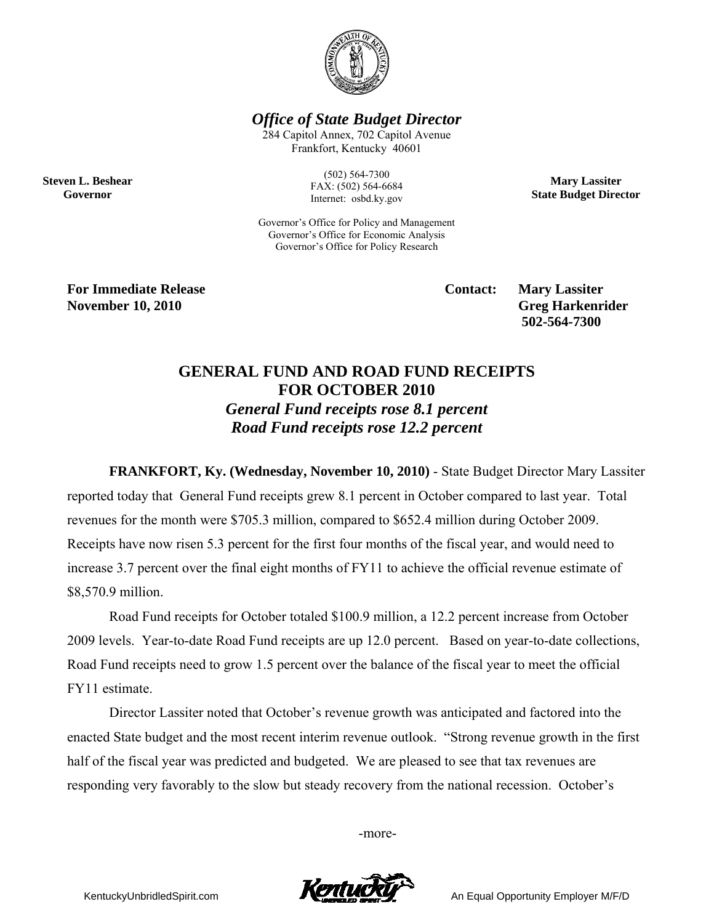

*Office of State Budget Director* 

284 Capitol Annex, 702 Capitol Avenue Frankfort, Kentucky 40601

> (502) 564-7300 FAX: (502) 564-6684 Internet: osbd.ky.gov

**Mary Lassiter State Budget Director** 

Governor's Office for Policy and Management Governor's Office for Economic Analysis Governor's Office for Policy Research

**For Immediate Release Service Service Service Contact: Mary Lassiter November 10, 2010** Greg Harkenrider **Greg Harkenrider Greg Harkenrider Greg Harkenrider** 

**Steven L. Beshear Governor** 

 **502-564-7300** 

## **GENERAL FUND AND ROAD FUND RECEIPTS FOR OCTOBER 2010**

*General Fund receipts rose 8.1 percent Road Fund receipts rose 12.2 percent* 

**FRANKFORT, Ky. (Wednesday, November 10, 2010)** - State Budget Director Mary Lassiter reported today that General Fund receipts grew 8.1 percent in October compared to last year. Total revenues for the month were \$705.3 million, compared to \$652.4 million during October 2009. Receipts have now risen 5.3 percent for the first four months of the fiscal year, and would need to increase 3.7 percent over the final eight months of FY11 to achieve the official revenue estimate of \$8,570.9 million.

Road Fund receipts for October totaled \$100.9 million, a 12.2 percent increase from October 2009 levels. Year-to-date Road Fund receipts are up 12.0 percent. Based on year-to-date collections, Road Fund receipts need to grow 1.5 percent over the balance of the fiscal year to meet the official FY11 estimate.

Director Lassiter noted that October's revenue growth was anticipated and factored into the enacted State budget and the most recent interim revenue outlook. "Strong revenue growth in the first half of the fiscal year was predicted and budgeted. We are pleased to see that tax revenues are responding very favorably to the slow but steady recovery from the national recession. October's

-more-



KentuckyUnbridledSpirit.com **An Equal Opportunity Employer M/F/D**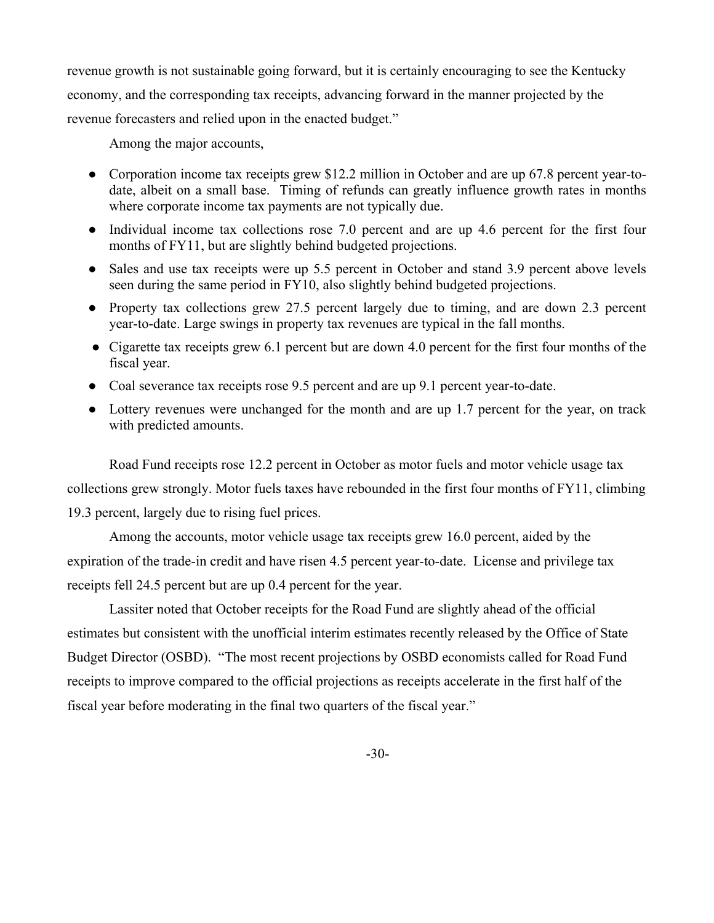revenue growth is not sustainable going forward, but it is certainly encouraging to see the Kentucky economy, and the corresponding tax receipts, advancing forward in the manner projected by the revenue forecasters and relied upon in the enacted budget."

Among the major accounts,

- Corporation income tax receipts grew \$12.2 million in October and are up 67.8 percent year-todate, albeit on a small base. Timing of refunds can greatly influence growth rates in months where corporate income tax payments are not typically due.
- Individual income tax collections rose 7.0 percent and are up 4.6 percent for the first four months of FY11, but are slightly behind budgeted projections.
- Sales and use tax receipts were up 5.5 percent in October and stand 3.9 percent above levels seen during the same period in FY10, also slightly behind budgeted projections.
- Property tax collections grew 27.5 percent largely due to timing, and are down 2.3 percent year-to-date. Large swings in property tax revenues are typical in the fall months.
- Cigarette tax receipts grew 6.1 percent but are down 4.0 percent for the first four months of the fiscal year.
- Coal severance tax receipts rose 9.5 percent and are up 9.1 percent year-to-date.
- Lottery revenues were unchanged for the month and are up 1.7 percent for the year, on track with predicted amounts.

Road Fund receipts rose 12.2 percent in October as motor fuels and motor vehicle usage tax collections grew strongly. Motor fuels taxes have rebounded in the first four months of FY11, climbing 19.3 percent, largely due to rising fuel prices.

Among the accounts, motor vehicle usage tax receipts grew 16.0 percent, aided by the expiration of the trade-in credit and have risen 4.5 percent year-to-date. License and privilege tax receipts fell 24.5 percent but are up 0.4 percent for the year.

Lassiter noted that October receipts for the Road Fund are slightly ahead of the official estimates but consistent with the unofficial interim estimates recently released by the Office of State Budget Director (OSBD). "The most recent projections by OSBD economists called for Road Fund receipts to improve compared to the official projections as receipts accelerate in the first half of the fiscal year before moderating in the final two quarters of the fiscal year."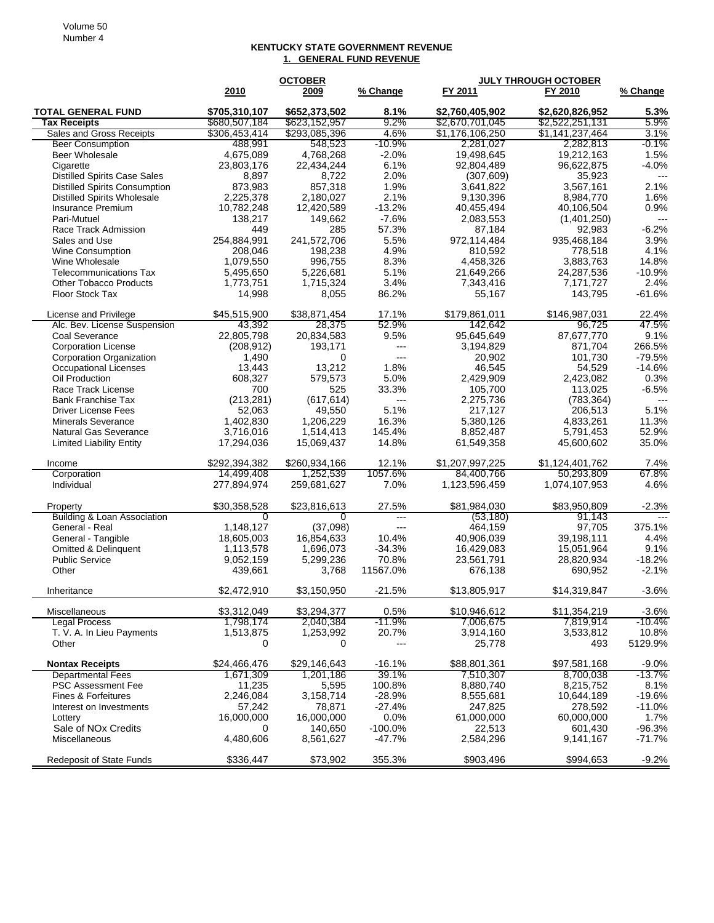## **KENTUCKY STATE GOVERNMENT REVENUE 1. GENERAL FUND REVENUE**

|                                                    |                           | <b>OCTOBER</b>            |                   | <b>JULY THROUGH OCTOBER</b> |                             |                           |
|----------------------------------------------------|---------------------------|---------------------------|-------------------|-----------------------------|-----------------------------|---------------------------|
|                                                    | 2010                      | 2009                      | % Change          | FY 2011                     | FY 2010                     | % Change                  |
| <b>TOTAL GENERAL FUND</b>                          | \$705,310,107             | \$652,373,502             | 8.1%              | \$2,760,405,902             | \$2,620,826,952             | 5.3%                      |
| <b>Tax Receipts</b>                                | \$680,507,184             | \$623,152,957             | $9.2\%$           | \$2,670,701,045             | \$2,522,251,131             | 5.9%                      |
| Sales and Gross Receipts                           | \$306,453,414             | \$293,085,396             | 4.6%              | \$1,176,106,250             | \$1,141,237,464             | $3.1\%$                   |
| <b>Beer Consumption</b>                            | 488,991                   | 548,523                   | $-10.9%$          | 2,281,027                   | 2,282,813                   | -0.1%                     |
| Beer Wholesale                                     | 4,675,089                 | 4,768,268                 | $-2.0%$           | 19,498,645                  | 19,212,163                  | 1.5%                      |
| Cigarette                                          | 23,803,176                | 22,434,244                | 6.1%              | 92,804,489                  | 96,622,875                  | $-4.0%$                   |
| <b>Distilled Spirits Case Sales</b>                | 8,897                     | 8,722                     | 2.0%              | (307, 609)                  | 35,923                      | $---$                     |
| <b>Distilled Spirits Consumption</b>               | 873,983                   | 857,318                   | 1.9%              | 3,641,822                   | 3,567,161                   | 2.1%                      |
| <b>Distilled Spirits Wholesale</b>                 | 2,225,378                 | 2,180,027                 | 2.1%              | 9,130,396                   | 8,984,770                   | 1.6%                      |
| Insurance Premium                                  | 10,782,248                | 12,420,589                | $-13.2%$          | 40,455,494                  | 40,106,504                  | 0.9%                      |
| Pari-Mutuel<br>Race Track Admission                | 138,217<br>449            | 149,662<br>285            | $-7.6%$<br>57.3%  | 2,083,553<br>87,184         | (1,401,250)<br>92,983       | $\overline{a}$<br>$-6.2%$ |
| Sales and Use                                      | 254,884,991               | 241,572,706               | 5.5%              | 972,114,484                 | 935,468,184                 | 3.9%                      |
| Wine Consumption                                   | 208,046                   | 198,238                   | 4.9%              | 810,592                     | 778,518                     | 4.1%                      |
| Wine Wholesale                                     | 1,079,550                 | 996,755                   | 8.3%              | 4,458,326                   | 3,883,763                   | 14.8%                     |
| <b>Telecommunications Tax</b>                      | 5,495,650                 | 5,226,681                 | 5.1%              | 21,649,266                  | 24,287,536                  | $-10.9%$                  |
| <b>Other Tobacco Products</b>                      | 1,773,751                 | 1,715,324                 | 3.4%              | 7,343,416                   | 7,171,727                   | 2.4%                      |
| Floor Stock Tax                                    | 14,998                    | 8,055                     | 86.2%             | 55,167                      | 143,795                     | $-61.6%$                  |
|                                                    |                           |                           |                   |                             |                             |                           |
| License and Privilege                              | \$45,515,900              | \$38,871,454              | 17.1%             | \$179,861,011               | \$146,987,031               | 22.4%                     |
| Alc. Bev. License Suspension                       | 43,392                    | 28,375                    | 52.9%             | 142,642                     | 96,725                      | 47.5%                     |
| Coal Severance                                     | 22,805,798                | 20,834,583                | 9.5%              | 95,645,649                  | 87,677,770                  | 9.1%                      |
| <b>Corporation License</b>                         | (208, 912)                | 193,171                   | ---               | 3,194,829                   | 871,704                     | 266.5%                    |
| <b>Corporation Organization</b>                    | 1,490                     | 0                         | ---               | 20,902                      | 101,730                     | $-79.5%$                  |
| <b>Occupational Licenses</b><br>Oil Production     | 13,443<br>608,327         | 13,212<br>579,573         | 1.8%<br>5.0%      | 46,545<br>2,429,909         | 54,529<br>2,423,082         | $-14.6%$<br>0.3%          |
| Race Track License                                 | 700                       | 525                       | 33.3%             | 105.700                     | 113,025                     | $-6.5%$                   |
| <b>Bank Franchise Tax</b>                          | (213, 281)                | (617, 614)                | $---$             | 2,275,736                   | (783, 364)                  |                           |
| <b>Driver License Fees</b>                         | 52,063                    | 49,550                    | 5.1%              | 217,127                     | 206,513                     | 5.1%                      |
| <b>Minerals Severance</b>                          | 1,402,830                 | 1,206,229                 | 16.3%             | 5,380,126                   | 4,833,261                   | 11.3%                     |
| Natural Gas Severance                              | 3,716,016                 | 1,514,413                 | 145.4%            | 8,852,487                   | 5,791,453                   | 52.9%                     |
| <b>Limited Liability Entity</b>                    | 17,294,036                | 15,069,437                | 14.8%             | 61,549,358                  | 45,600,602                  | 35.0%                     |
|                                                    |                           |                           |                   |                             |                             |                           |
| Income                                             | \$292,394,382             | \$260,934,166             | 12.1%             | \$1,207,997,225             | \$1,124,401,762             | 7.4%                      |
| Corporation<br>Individual                          | 14,499,408<br>277,894,974 | 1,252,539<br>259,681,627  | 1057.6%<br>7.0%   | 84,400,766<br>1,123,596,459 | 50,293,809<br>1,074,107,953 | 67.8%<br>4.6%             |
|                                                    |                           |                           |                   |                             |                             |                           |
| Property                                           | \$30,358,528              | \$23,816,613              | 27.5%             | \$81,984,030                | \$83,950,809                | $-2.3%$                   |
| Building & Loan Association                        | 0                         | 0                         | $\overline{a}$    | (53, 180)                   | 91,143                      | $---$                     |
| General - Real                                     | 1,148,127                 | (37,098)                  | ---               | 464.159                     | 97,705                      | 375.1%                    |
| General - Tangible                                 | 18,605,003                | 16,854,633                | 10.4%             | 40,906,039                  | 39,198,111                  | 4.4%                      |
| <b>Omitted &amp; Delinquent</b>                    | 1,113,578                 | 1,696,073                 | $-34.3%$          | 16,429,083                  | 15,051,964                  | 9.1%                      |
| <b>Public Service</b>                              | 9,052,159                 | 5,299,236                 | 70.8%             | 23,561,791                  | 28,820,934                  | $-18.2%$                  |
| Other                                              | 439,661                   | 3,768                     | 11567.0%          | 676,138                     | 690,952                     | $-2.1%$                   |
| Inheritance                                        | \$2,472,910               | \$3,150,950               | $-21.5%$          | \$13,805,917                | \$14,319,847                | $-3.6%$                   |
| Miscellaneous                                      | \$3.312.049               | \$3.294.377               | 0.5%              | \$10,946,612                | \$11,354,219                | $-3.6%$                   |
| <b>Legal Process</b>                               | 1,798,174                 | 2,040,384                 | -11.9%            | 7,006,675                   | 7,819,914                   | $-10.4%$                  |
| T. V. A. In Lieu Payments                          | 1,513,875                 | 1,253,992                 | 20.7%             | 3,914,160                   | 3,533,812                   | 10.8%                     |
| Other                                              | 0                         | 0                         | $---$             | 25,778                      | 493                         | 5129.9%                   |
|                                                    | \$24,466,476              |                           |                   |                             |                             |                           |
| <b>Nontax Receipts</b><br><b>Departmental Fees</b> | 1,671,309                 | \$29,146,643<br>1,201,186 | $-16.1%$<br>39.1% | \$88,801,361<br>7,510,307   | \$97,581,168<br>8,700,038   | $-9.0%$<br>$-13.7%$       |
| <b>PSC Assessment Fee</b>                          | 11,235                    | 5,595                     | 100.8%            | 8,880,740                   | 8,215,752                   | 8.1%                      |
| Fines & Forfeitures                                | 2,246,084                 | 3,158,714                 | $-28.9%$          | 8,555,681                   | 10,644,189                  | $-19.6%$                  |
| Interest on Investments                            | 57,242                    | 78,871                    | $-27.4%$          | 247,825                     | 278,592                     | $-11.0%$                  |
| Lottery                                            | 16,000,000                | 16,000,000                | 0.0%              | 61,000,000                  | 60,000,000                  | 1.7%                      |
| Sale of NO <sub>x</sub> Credits                    | 0                         | 140,650                   | $-100.0\%$        | 22,513                      | 601,430                     | $-96.3%$                  |
| Miscellaneous                                      | 4,480,606                 | 8,561,627                 | $-47.7%$          | 2,584,296                   | 9,141,167                   | $-71.7%$                  |
| <b>Redeposit of State Funds</b>                    | \$336,447                 | \$73,902                  | 355.3%            | \$903,496                   | \$994,653                   | $-9.2%$                   |